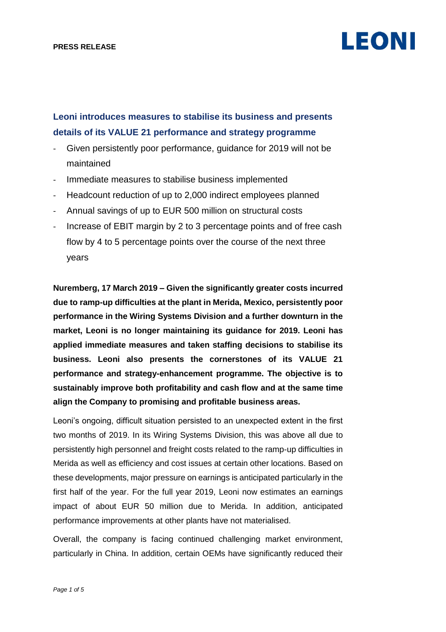### **Leoni introduces measures to stabilise its business and presents details of its VALUE 21 performance and strategy programme**

- Given persistently poor performance, guidance for 2019 will not be maintained
- Immediate measures to stabilise business implemented
- Headcount reduction of up to 2,000 indirect employees planned
- Annual savings of up to EUR 500 million on structural costs
- Increase of EBIT margin by 2 to 3 percentage points and of free cash flow by 4 to 5 percentage points over the course of the next three years

**Nuremberg, 17 March 2019 – Given the significantly greater costs incurred due to ramp-up difficulties at the plant in Merida, Mexico, persistently poor performance in the Wiring Systems Division and a further downturn in the market, Leoni is no longer maintaining its guidance for 2019. Leoni has applied immediate measures and taken staffing decisions to stabilise its business. Leoni also presents the cornerstones of its VALUE 21 performance and strategy-enhancement programme. The objective is to sustainably improve both profitability and cash flow and at the same time align the Company to promising and profitable business areas.**

Leoni's ongoing, difficult situation persisted to an unexpected extent in the first two months of 2019. In its Wiring Systems Division, this was above all due to persistently high personnel and freight costs related to the ramp-up difficulties in Merida as well as efficiency and cost issues at certain other locations. Based on these developments, major pressure on earnings is anticipated particularly in the first half of the year. For the full year 2019, Leoni now estimates an earnings impact of about EUR 50 million due to Merida. In addition, anticipated performance improvements at other plants have not materialised.

Overall, the company is facing continued challenging market environment, particularly in China. In addition, certain OEMs have significantly reduced their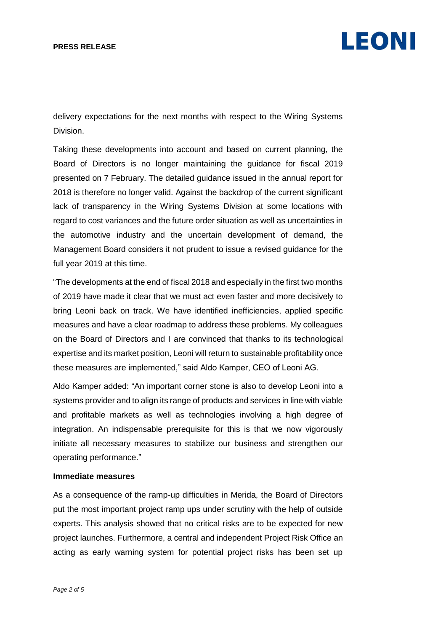delivery expectations for the next months with respect to the Wiring Systems Division.

Taking these developments into account and based on current planning, the Board of Directors is no longer maintaining the guidance for fiscal 2019 presented on 7 February. The detailed guidance issued in the annual report for 2018 is therefore no longer valid. Against the backdrop of the current significant lack of transparency in the Wiring Systems Division at some locations with regard to cost variances and the future order situation as well as uncertainties in the automotive industry and the uncertain development of demand, the Management Board considers it not prudent to issue a revised guidance for the full year 2019 at this time.

"The developments at the end of fiscal 2018 and especially in the first two months of 2019 have made it clear that we must act even faster and more decisively to bring Leoni back on track. We have identified inefficiencies, applied specific measures and have a clear roadmap to address these problems. My colleagues on the Board of Directors and I are convinced that thanks to its technological expertise and its market position, Leoni will return to sustainable profitability once these measures are implemented," said Aldo Kamper, CEO of Leoni AG.

Aldo Kamper added: "An important corner stone is also to develop Leoni into a systems provider and to align its range of products and services in line with viable and profitable markets as well as technologies involving a high degree of integration. An indispensable prerequisite for this is that we now vigorously initiate all necessary measures to stabilize our business and strengthen our operating performance."

### **Immediate measures**

As a consequence of the ramp-up difficulties in Merida, the Board of Directors put the most important project ramp ups under scrutiny with the help of outside experts. This analysis showed that no critical risks are to be expected for new project launches. Furthermore, a central and independent Project Risk Office an acting as early warning system for potential project risks has been set up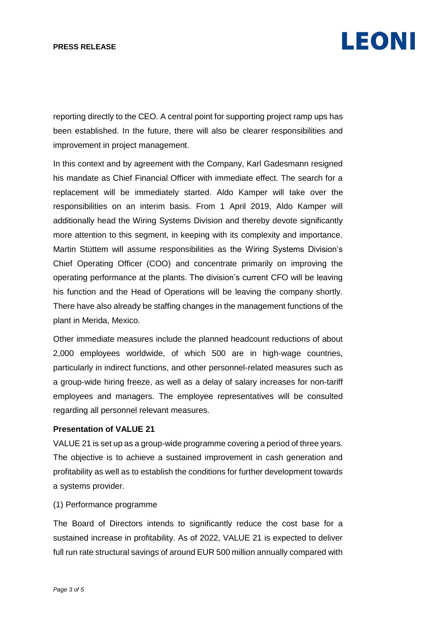reporting directly to the CEO. A central point for supporting project ramp ups has been established. In the future, there will also be clearer responsibilities and improvement in project management.

In this context and by agreement with the Company, Karl Gadesmann resigned his mandate as Chief Financial Officer with immediate effect. The search for a replacement will be immediately started. Aldo Kamper will take over the responsibilities on an interim basis. From 1 April 2019, Aldo Kamper will additionally head the Wiring Systems Division and thereby devote significantly more attention to this segment, in keeping with its complexity and importance. Martin Stüttem will assume responsibilities as the Wiring Systems Division's Chief Operating Officer (COO) and concentrate primarily on improving the operating performance at the plants. The division's current CFO will be leaving his function and the Head of Operations will be leaving the company shortly. There have also already be staffing changes in the management functions of the plant in Merida, Mexico.

Other immediate measures include the planned headcount reductions of about 2,000 employees worldwide, of which 500 are in high-wage countries, particularly in indirect functions, and other personnel-related measures such as a group-wide hiring freeze, as well as a delay of salary increases for non-tariff employees and managers. The employee representatives will be consulted regarding all personnel relevant measures.

### **Presentation of VALUE 21**

VALUE 21 is set up as a group-wide programme covering a period of three years. The objective is to achieve a sustained improvement in cash generation and profitability as well as to establish the conditions for further development towards a systems provider.

### (1) Performance programme

The Board of Directors intends to significantly reduce the cost base for a sustained increase in profitability. As of 2022, VALUE 21 is expected to deliver full run rate structural savings of around EUR 500 million annually compared with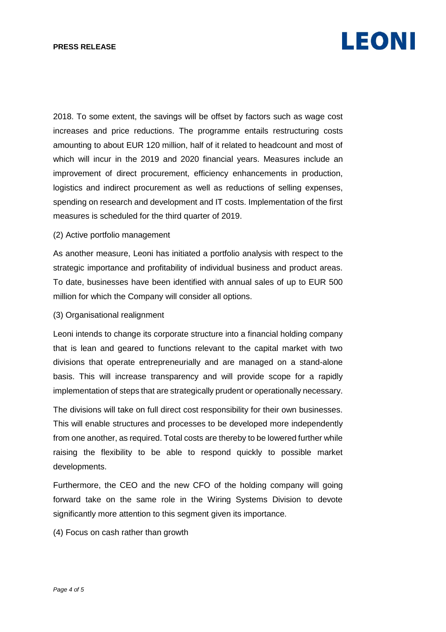2018. To some extent, the savings will be offset by factors such as wage cost increases and price reductions. The programme entails restructuring costs amounting to about EUR 120 million, half of it related to headcount and most of which will incur in the 2019 and 2020 financial years. Measures include an improvement of direct procurement, efficiency enhancements in production, logistics and indirect procurement as well as reductions of selling expenses, spending on research and development and IT costs. Implementation of the first measures is scheduled for the third quarter of 2019.

### (2) Active portfolio management

As another measure, Leoni has initiated a portfolio analysis with respect to the strategic importance and profitability of individual business and product areas. To date, businesses have been identified with annual sales of up to EUR 500 million for which the Company will consider all options.

### (3) Organisational realignment

Leoni intends to change its corporate structure into a financial holding company that is lean and geared to functions relevant to the capital market with two divisions that operate entrepreneurially and are managed on a stand-alone basis. This will increase transparency and will provide scope for a rapidly implementation of steps that are strategically prudent or operationally necessary.

The divisions will take on full direct cost responsibility for their own businesses. This will enable structures and processes to be developed more independently from one another, as required. Total costs are thereby to be lowered further while raising the flexibility to be able to respond quickly to possible market developments.

Furthermore, the CEO and the new CFO of the holding company will going forward take on the same role in the Wiring Systems Division to devote significantly more attention to this segment given its importance.

(4) Focus on cash rather than growth